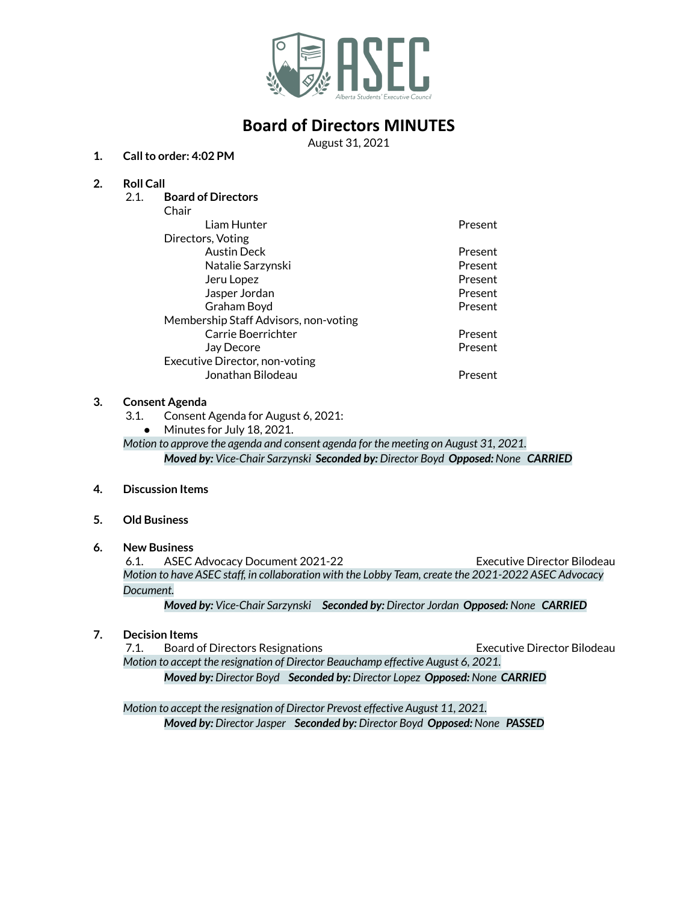

## **Board of Directors MINUTES**

August 31, 2021

### **1. Callto order: 4:02 PM**

## **2. Roll Call**

2.1. **Board of Directors**

| Chair                                 |         |
|---------------------------------------|---------|
| Liam Hunter                           | Present |
| Directors, Voting                     |         |
| <b>Austin Deck</b>                    | Present |
| Natalie Sarzynski                     | Present |
| Jeru Lopez                            | Present |
| Jasper Jordan                         | Present |
| Graham Boyd                           | Present |
| Membership Staff Advisors, non-voting |         |
| Carrie Boerrichter                    | Present |
| Jay Decore                            | Present |
| Executive Director, non-voting        |         |
| Jonathan Bilodeau                     | Present |
|                                       |         |

### **3. Consent Agenda**

- 3.1. Consent Agenda for August 6, 2021:
- Minutes for July 18, 2021.

*Motion to approve the agenda and consent agenda for the meeting on August 31, 2021. Moved by: Vice-Chair Sarzynski Seconded by: Director Boyd Opposed: None CARRIED*

- **4. Discussion Items**
- **5. Old Business**
- **6. New Business**

6.1. ASEC Advocacy Document 2021-22 Executive Director Bilodeau *Motion to have ASEC staff, in collaboration with the Lobby Team, create the 2021-2022 ASEC Advocacy Document.*

*Moved by: Vice-Chair Sarzynski Seconded by: Director Jordan Opposed: None CARRIED*

**7. Decision Items**

7.1. Board of Directors Resignations Executive Director Bilodeau *Motion to accept the resignation of Director Beauchamp effective August 6, 2021. Moved by: Director Boyd Seconded by: Director Lopez Opposed: None CARRIED*

*Motion to accept the resignation of Director Prevost effective August 11, 2021. Moved by: Director Jasper Seconded by: Director Boyd Opposed: None PASSED*